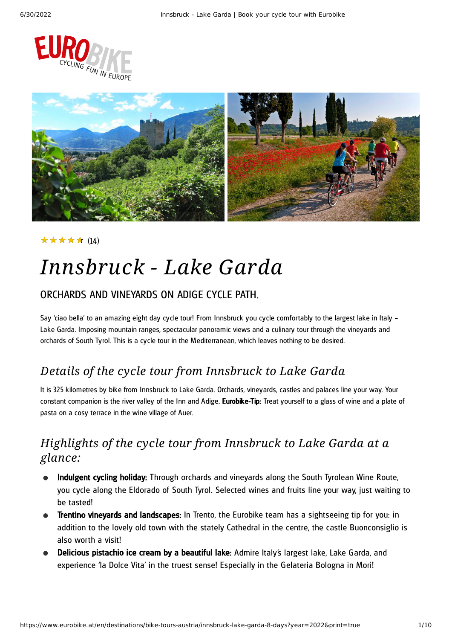



#### (14) ★★★★★

## *Innsbruck - Lake Garda*

#### ORCHARDS AND VINEYARDS ON ADIGE CYCLE PATH.

Say 'ciao bella' to an amazing eight day cycle tour! From Innsbruck you cycle comfortably to the largest lake in Italy – Lake Garda. Imposing mountain ranges, spectacular panoramic views and a culinary tour through the vineyards and orchards of South Tyrol. This is a cycle tour in the Mediterranean, which leaves nothing to be desired.

### *Details of the cycle tour from Innsbruck to Lake Garda*

It is 325 kilometres by bike from Innsbruck to Lake Garda. Orchards, vineyards, castles and palaces line your way. Your constant companion is the river valley of the Inn and Adige. Eurobike-Tip: Treat yourself to a glass of wine and a plate of pasta on a cosy terrace in the wine village of Auer.

### *Highlights of the cycle tour from Innsbruck to Lake Garda at a glance:*

- Indulgent cycling holiday: Through orchards and vineyards along the South Tyrolean Wine Route, you cycle along the Eldorado of South Tyrol. Selected wines and fruits line your way, just waiting to be tasted!
- **Trentino vineyards and landscapes:** In Trento, the Eurobike team has a sightseeing tip for you: in addition to the lovely old town with the stately Cathedral in the centre, the castle Buonconsiglio is also worth a visit!
- Delicious pistachio ice cream by a beautiful lake: Admire Italy's largest lake, Lake Garda, and experience 'la Dolce Vita' in the truest sense! Especially in the Gelateria Bologna in Mori!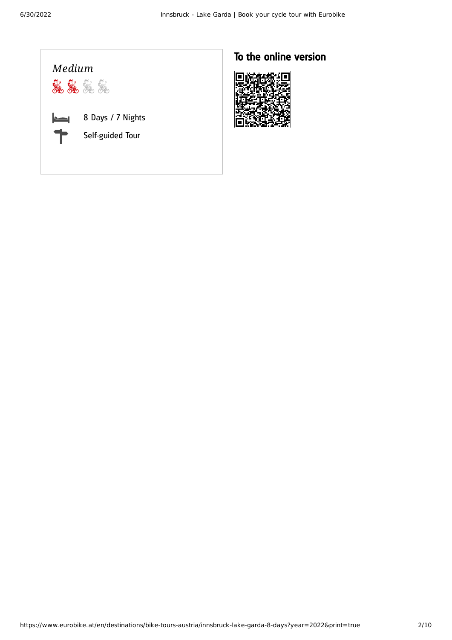

### To the online version

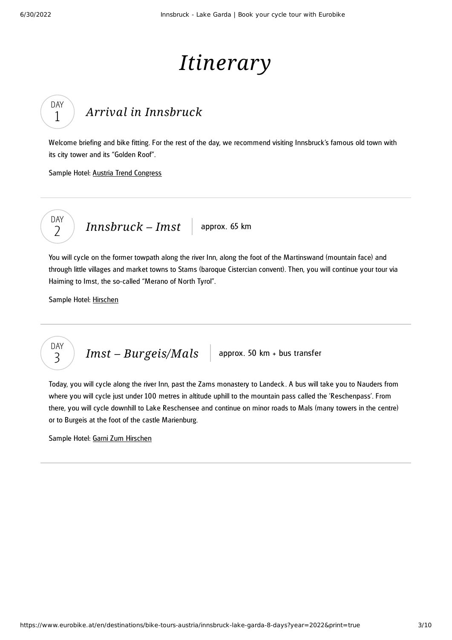# *Itinerary*

## *Arrival in [Innsbruck](#page-2-0)*

<span id="page-2-0"></span>Welcome briefing and bike fitting. For the rest of the day, we recommend visiting Innsbruck's famous old town with its city tower and its "Golden Roof".

Sample Hotel: Austria Trend [Congress](https://www.austria-trend.at/en/hotels/congress-innsbruck)



DAY 1

*[Innsbruck](#page-2-1)* – *Imst* approx. 65 km

<span id="page-2-1"></span>You will cycle on the former towpath along the river Inn, along the foot of the Martinswand (mountain face) and through little villages and market towns to Stams (baroque Cistercian convent). Then, you will continue your tour via Haiming to Imst, the so-called "Merano of North Tyrol".

Sample Hotel: [Hirschen](http://www.hirschen-imst.com/)



<span id="page-2-2"></span>Today, you will cycle along the river Inn, past the Zams monastery to Landeck . A bus will take you to Nauders from where you will cycle just under 100 metres in altitude uphill to the mountain pass called the 'Reschenpass'. From there, you will cycle downhill to Lake Reschensee and continue on minor roads to Mals (many towers in the centre) or to Burgeis at the foot of the castle Marienburg.

Sample Hotel: Garni Zum [Hirschen](http://www.hotel-hirschen.it/)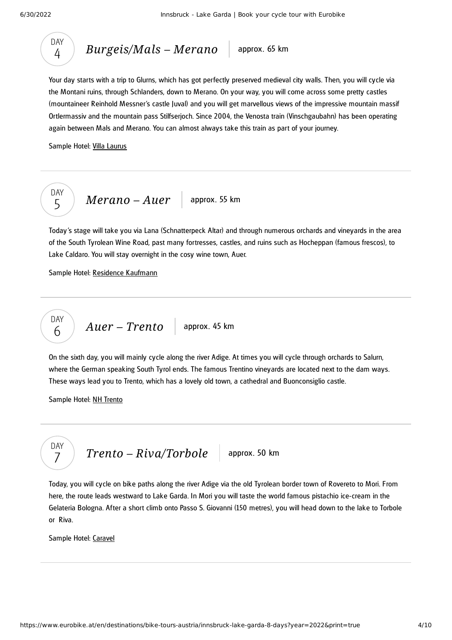

*[Burgeis/Mals](#page-3-0)* – *Merano* approx. 65 km

<span id="page-3-0"></span>Your day starts with a trip to Glurns, which has got perfectly preserved medieval city walls. Then, you will cycle via the Montani ruins, through Schlanders, down to Merano. On your way, you will come across some pretty castles (mountaineer Reinhold Messner's castle Juval) and you will get marvellous views of the impressive mountain massif Ortlermassiv and the mountain pass Stilfserjoch. Since 2004, the Venosta train (Vinschgaubahn) has been operating again between Mals and Merano. You can almost always take this train as part of your journey.

Sample Hotel: Villa [Laurus](https://www.hotelsmerano.it/en/hotel-villalaurus-merano/)



<span id="page-3-1"></span>Today's stage will take you via Lana (Schnatterpeck Altar) and through numerous orchards and vineyards in the area of the South Tyrolean Wine Road, past many fortresses, castles, and ruins such as Hocheppan (famous frescos), to Lake Caldaro. You will stay overnight in the cosy wine town, Auer.

Sample Hotel: Residence [Kaufmann](http://www.hotelkaufmann.it/)

$$
\begin{array}{|c|c|c|c|}\n\hline\n\text{DAY} & \text{Auer}-\text{Trento} & \text{approx. 45 km}\n\end{array}
$$

<span id="page-3-2"></span>On the sixth day, you will mainly cycle along the river Adige. At times you will cycle through orchards to Salurn, where the German speaking South Tyrol ends. The famous Trentino vineyards are located next to the dam ways. These ways lead you to Trento, which has a lovely old town, a cathedral and Buonconsiglio castle.

Sample Hotel: NH [Trento](http://www.nh-hotels.de/hotel/nh-trento)



<span id="page-3-3"></span>Today, you will cycle on bike paths along the river Adige via the old Tyrolean border town of Rovereto to Mori. From here, the route leads westward to Lake Garda. In Mori you will taste the world famous pistachio ice-cream in the Gelateria Bologna. After a short climb onto Passo S. Giovanni (150 metres), you will head down to the lake to Torbole or Riva.

Sample Hotel: [Caravel](http://www.caravelbikehotel.com/)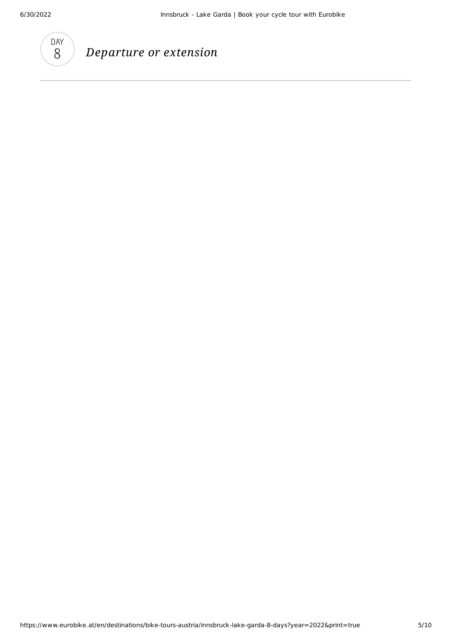

### *Departure or extension*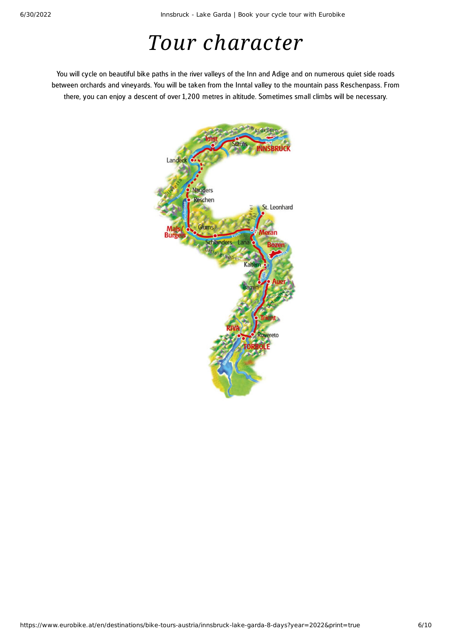# *Tour character*

You will cycle on beautiful bike paths in the river valleys of the Inn and Adige and on numerous quiet side roads between orchards and vineyards. You will be taken from the Inntal valley to the mountain pass Reschenpass. From there, you can enjoy a descent of over 1, 200 metres in altitude. Sometimes small climbs will be necessary.

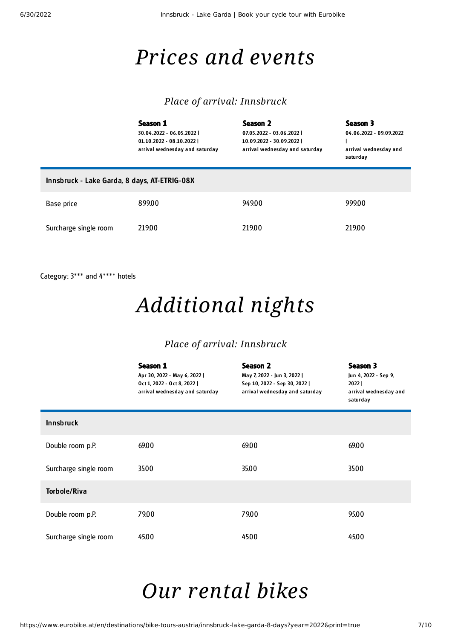## *Prices and events*

#### *Place of arrival: Innsbruck*

|                                              | Season 1<br>30.04.2022 - 06.05.2022  <br>01.10.2022 - 08.10.2022  <br>arrival wednesday and saturday | Season 2<br>07.05.2022 - 03.06.2022  <br>10.09.2022 - 30.09.2022  <br>arrival wednesday and saturday | Season 3<br>04.06.2022 - 09.09.2022<br>arrival wednesday and<br>saturday |  |  |
|----------------------------------------------|------------------------------------------------------------------------------------------------------|------------------------------------------------------------------------------------------------------|--------------------------------------------------------------------------|--|--|
| Innsbruck - Lake Garda, 8 days, AT-ETRIG-08X |                                                                                                      |                                                                                                      |                                                                          |  |  |
| Base price                                   | 899.00                                                                                               | 949.00                                                                                               | 999.00                                                                   |  |  |
| Surcharge single room                        | 219.00                                                                                               | 219.00                                                                                               | 219.00                                                                   |  |  |

Category: 3\*\*\* and 4\*\*\*\* hotels

# *Additional nights*

#### *Place of arrival: Innsbruck*

|                       | Season 1<br>Apr 30, 2022 - May 6, 2022  <br>Oct 1, 2022 - Oct 8, 2022  <br>arrival wednesday and saturday | Season 2<br>May 7, 2022 - Jun 3, 2022  <br>Sep 10, 2022 - Sep 30, 2022  <br>arrival wednesday and saturday | Season 3<br>Jun 4, 2022 - Sep 9,<br>2022<br>arrival wednesday and<br>saturday |
|-----------------------|-----------------------------------------------------------------------------------------------------------|------------------------------------------------------------------------------------------------------------|-------------------------------------------------------------------------------|
| <b>Innsbruck</b>      |                                                                                                           |                                                                                                            |                                                                               |
| Double room p.P.      | 69.00                                                                                                     | 69.00                                                                                                      | 69.00                                                                         |
| Surcharge single room | 35.00                                                                                                     | 35.00                                                                                                      | 35.00                                                                         |
| <b>Torbole/Riva</b>   |                                                                                                           |                                                                                                            |                                                                               |
| Double room p.P.      | 79.00                                                                                                     | 79.00                                                                                                      | 95.00                                                                         |
| Surcharge single room | 45.00                                                                                                     | 45.00                                                                                                      | 45.00                                                                         |

## <span id="page-6-0"></span>*Our [rental](#page-6-0) bikes*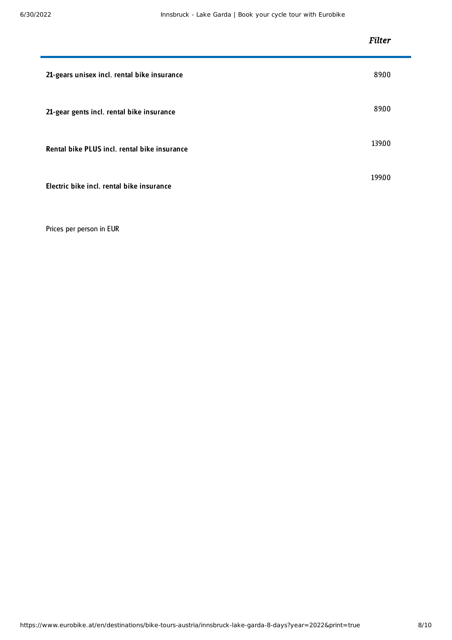|                                              | <b>Filter</b> |
|----------------------------------------------|---------------|
| 21-gears unisex incl. rental bike insurance  | 89.00         |
| 21-gear gents incl. rental bike insurance    | 89.00         |
| Rental bike PLUS incl. rental bike insurance | 139.00        |
| Electric bike incl. rental bike insurance    | 199.00        |

Prices per person in EUR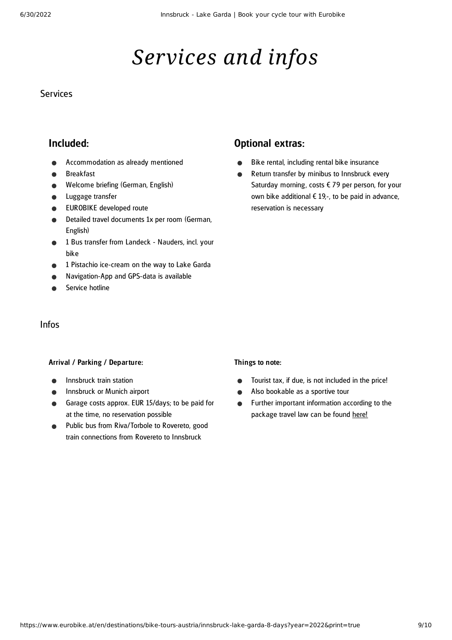# *Services and infos*

#### **Services**

#### Included:

- Accommodation as already mentioned
- Breakfast
- Welcome briefing (German, English)
- Luggage transfer  $\bullet$
- EUROBIKE developed route
- Detailed travel documents 1x per room (German, English)
- 1 Bus transfer from Landeck Nauders, incl. your bike
- 1 Pistachio ice-cream on the way to Lake Garda
- Navigation-App and GPS-data is available
- Service hotline

#### Optional extras:

- Bike rental, including rental bike insurance  $\bullet$
- Return transfer by minibus to Innsbruck every  $\bullet$ Saturday morning, costs  $679$  per person, for your own bike additional  $\epsilon$  19.-, to be paid in advance. reservation is necessary

#### Infos

#### Arrival / Parking / Departure:

- Innsbruck train station
- Innsbruck or Munich airport
- Garage costs approx. EUR 15/days; to be paid for at the time, no reservation possible
- Public bus from Riva/Torbole to Rovereto, good train connections from Rovereto to Innsbruck

#### Things to note:

- Tourist tax, if due, is not included in the price!  $\bullet$
- Also bookable as a sportive tour
- Further important information according to the  $\bullet$ package travel law can be found [here](https://www.eurobike.at/en/travel-information/before-the-tour/pci)!